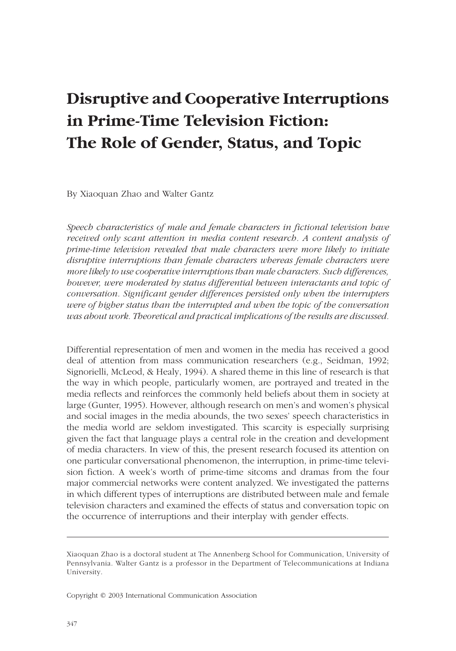# **Disruptive and Cooperative Interruptions in Prime-Time Television Fiction: The Role of Gender, Status, and Topic**

By Xiaoquan Zhao and Walter Gantz

*Speech characteristics of male and female characters in fictional television have received only scant attention in media content research. A content analysis of prime-time television revealed that male characters were more likely to initiate disruptive interruptions than female characters whereas female characters were more likely to use cooperative interruptions than male characters. Such differences, however, were moderated by status differential between interactants and topic of conversation. Significant gender differences persisted only when the interrupters were of higher status than the interrupted and when the topic of the conversation was about work. Theoretical and practical implications of the results are discussed.*

Differential representation of men and women in the media has received a good deal of attention from mass communication researchers (e.g., Seidman, 1992; Signorielli, McLeod, & Healy, 1994). A shared theme in this line of research is that the way in which people, particularly women, are portrayed and treated in the media reflects and reinforces the commonly held beliefs about them in society at large (Gunter, 1995). However, although research on men's and women's physical and social images in the media abounds, the two sexes' speech characteristics in the media world are seldom investigated. This scarcity is especially surprising given the fact that language plays a central role in the creation and development of media characters. In view of this, the present research focused its attention on one particular conversational phenomenon, the interruption, in prime-time television fiction. A week's worth of prime-time sitcoms and dramas from the four major commercial networks were content analyzed. We investigated the patterns in which different types of interruptions are distributed between male and female television characters and examined the effects of status and conversation topic on the occurrence of interruptions and their interplay with gender effects.

Xiaoquan Zhao is a doctoral student at The Annenberg School for Communication, University of Pennsylvania. Walter Gantz is a professor in the Department of Telecommunications at Indiana University.

Copyright © 2003 International Communication Association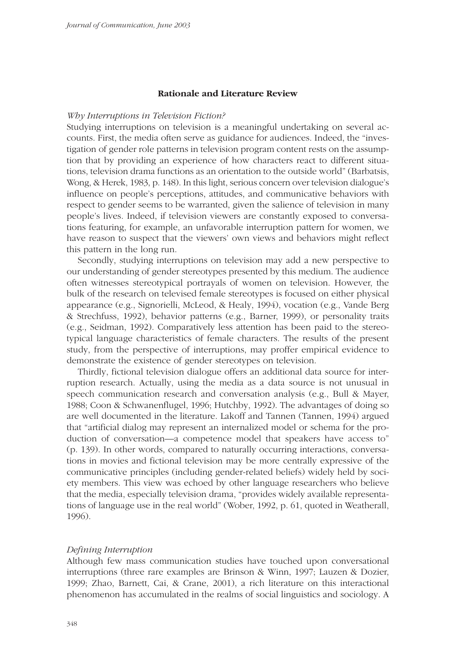#### **Rationale and Literature Review**

#### *Why Interruptions in Television Fiction?*

Studying interruptions on television is a meaningful undertaking on several accounts. First, the media often serve as guidance for audiences. Indeed, the "investigation of gender role patterns in television program content rests on the assumption that by providing an experience of how characters react to different situations, television drama functions as an orientation to the outside world" (Barbatsis, Wong, & Herek, 1983, p. 148). In this light, serious concern over television dialogue's influence on people's perceptions, attitudes, and communicative behaviors with respect to gender seems to be warranted, given the salience of television in many people's lives. Indeed, if television viewers are constantly exposed to conversations featuring, for example, an unfavorable interruption pattern for women, we have reason to suspect that the viewers' own views and behaviors might reflect this pattern in the long run.

Secondly, studying interruptions on television may add a new perspective to our understanding of gender stereotypes presented by this medium. The audience often witnesses stereotypical portrayals of women on television. However, the bulk of the research on televised female stereotypes is focused on either physical appearance (e.g., Signorielli, McLeod, & Healy, 1994), vocation (e.g., Vande Berg & Strechfuss, 1992), behavior patterns (e.g., Barner, 1999), or personality traits (e.g., Seidman, 1992). Comparatively less attention has been paid to the stereotypical language characteristics of female characters. The results of the present study, from the perspective of interruptions, may proffer empirical evidence to demonstrate the existence of gender stereotypes on television.

Thirdly, fictional television dialogue offers an additional data source for interruption research. Actually, using the media as a data source is not unusual in speech communication research and conversation analysis (e.g., Bull & Mayer, 1988; Coon & Schwanenflugel, 1996; Hutchby, 1992). The advantages of doing so are well documented in the literature. Lakoff and Tannen (Tannen, 1994) argued that "artificial dialog may represent an internalized model or schema for the production of conversation—a competence model that speakers have access to" (p. 139). In other words, compared to naturally occurring interactions, conversations in movies and fictional television may be more centrally expressive of the communicative principles (including gender-related beliefs) widely held by society members. This view was echoed by other language researchers who believe that the media, especially television drama, "provides widely available representations of language use in the real world" (Wober, 1992, p. 61, quoted in Weatherall, 1996).

#### *Defining Interruption*

Although few mass communication studies have touched upon conversational interruptions (three rare examples are Brinson & Winn, 1997; Lauzen & Dozier, 1999; Zhao, Barnett, Cai, & Crane, 2001), a rich literature on this interactional phenomenon has accumulated in the realms of social linguistics and sociology. A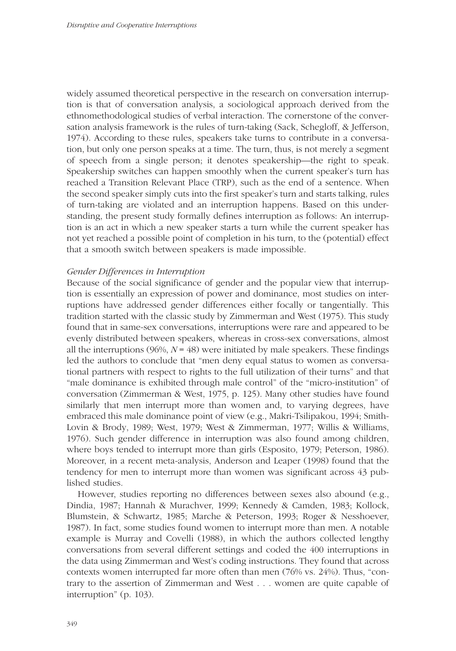widely assumed theoretical perspective in the research on conversation interruption is that of conversation analysis, a sociological approach derived from the ethnomethodological studies of verbal interaction. The cornerstone of the conversation analysis framework is the rules of turn-taking (Sack, Schegloff, & Jefferson, 1974). According to these rules, speakers take turns to contribute in a conversation, but only one person speaks at a time. The turn, thus, is not merely a segment of speech from a single person; it denotes speakership—the right to speak. Speakership switches can happen smoothly when the current speaker's turn has reached a Transition Relevant Place (TRP), such as the end of a sentence. When the second speaker simply cuts into the first speaker's turn and starts talking, rules of turn-taking are violated and an interruption happens. Based on this understanding, the present study formally defines interruption as follows: An interruption is an act in which a new speaker starts a turn while the current speaker has not yet reached a possible point of completion in his turn, to the (potential) effect that a smooth switch between speakers is made impossible.

# *Gender Differences in Interruption*

Because of the social significance of gender and the popular view that interruption is essentially an expression of power and dominance, most studies on interruptions have addressed gender differences either focally or tangentially. This tradition started with the classic study by Zimmerman and West (1975). This study found that in same-sex conversations, interruptions were rare and appeared to be evenly distributed between speakers, whereas in cross-sex conversations, almost all the interruptions  $(96\%, N = 48)$  were initiated by male speakers. These findings led the authors to conclude that "men deny equal status to women as conversational partners with respect to rights to the full utilization of their turns" and that "male dominance is exhibited through male control" of the "micro-institution" of conversation (Zimmerman & West, 1975, p. 125). Many other studies have found similarly that men interrupt more than women and, to varying degrees, have embraced this male dominance point of view (e.g., Makri-Tsilipakou, 1994; Smith-Lovin & Brody, 1989; West, 1979; West & Zimmerman, 1977; Willis & Williams, 1976). Such gender difference in interruption was also found among children, where boys tended to interrupt more than girls (Esposito, 1979; Peterson, 1986). Moreover, in a recent meta-analysis, Anderson and Leaper (1998) found that the tendency for men to interrupt more than women was significant across 43 published studies.

However, studies reporting no differences between sexes also abound (e.g., Dindia, 1987; Hannah & Murachver, 1999; Kennedy & Camden, 1983; Kollock, Blumstein, & Schwartz, 1985; Marche & Peterson, 1993; Roger & Nesshoever, 1987). In fact, some studies found women to interrupt more than men. A notable example is Murray and Covelli (1988), in which the authors collected lengthy conversations from several different settings and coded the 400 interruptions in the data using Zimmerman and West's coding instructions. They found that across contexts women interrupted far more often than men (76% vs. 24%). Thus, "contrary to the assertion of Zimmerman and West . . . women are quite capable of interruption" (p. 103).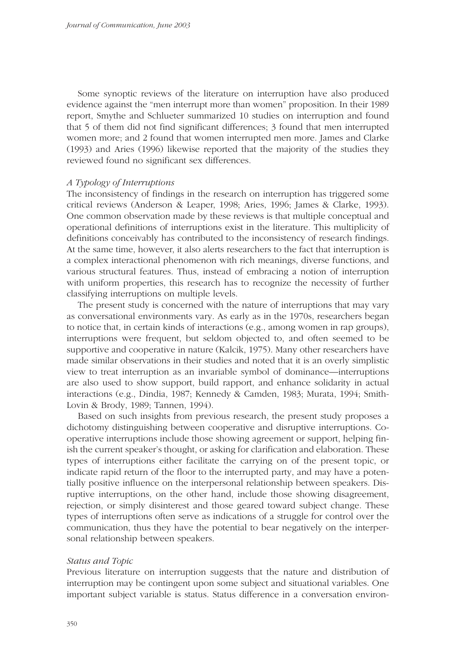Some synoptic reviews of the literature on interruption have also produced evidence against the "men interrupt more than women" proposition. In their 1989 report, Smythe and Schlueter summarized 10 studies on interruption and found that 5 of them did not find significant differences; 3 found that men interrupted women more; and 2 found that women interrupted men more. James and Clarke (1993) and Aries (1996) likewise reported that the majority of the studies they reviewed found no significant sex differences.

### *A Typology of Interruptions*

The inconsistency of findings in the research on interruption has triggered some critical reviews (Anderson & Leaper, 1998; Aries, 1996; James & Clarke, 1993). One common observation made by these reviews is that multiple conceptual and operational definitions of interruptions exist in the literature. This multiplicity of definitions conceivably has contributed to the inconsistency of research findings. At the same time, however, it also alerts researchers to the fact that interruption is a complex interactional phenomenon with rich meanings, diverse functions, and various structural features. Thus, instead of embracing a notion of interruption with uniform properties, this research has to recognize the necessity of further classifying interruptions on multiple levels.

The present study is concerned with the nature of interruptions that may vary as conversational environments vary. As early as in the 1970s, researchers began to notice that, in certain kinds of interactions (e.g., among women in rap groups), interruptions were frequent, but seldom objected to, and often seemed to be supportive and cooperative in nature (Kalcik, 1975). Many other researchers have made similar observations in their studies and noted that it is an overly simplistic view to treat interruption as an invariable symbol of dominance—interruptions are also used to show support, build rapport, and enhance solidarity in actual interactions (e.g., Dindia, 1987; Kennedy & Camden, 1983; Murata, 1994; Smith-Lovin & Brody, 1989; Tannen, 1994).

Based on such insights from previous research, the present study proposes a dichotomy distinguishing between cooperative and disruptive interruptions. Cooperative interruptions include those showing agreement or support, helping finish the current speaker's thought, or asking for clarification and elaboration. These types of interruptions either facilitate the carrying on of the present topic, or indicate rapid return of the floor to the interrupted party, and may have a potentially positive influence on the interpersonal relationship between speakers. Disruptive interruptions, on the other hand, include those showing disagreement, rejection, or simply disinterest and those geared toward subject change. These types of interruptions often serve as indications of a struggle for control over the communication, thus they have the potential to bear negatively on the interpersonal relationship between speakers.

# *Status and Topic*

Previous literature on interruption suggests that the nature and distribution of interruption may be contingent upon some subject and situational variables. One important subject variable is status. Status difference in a conversation environ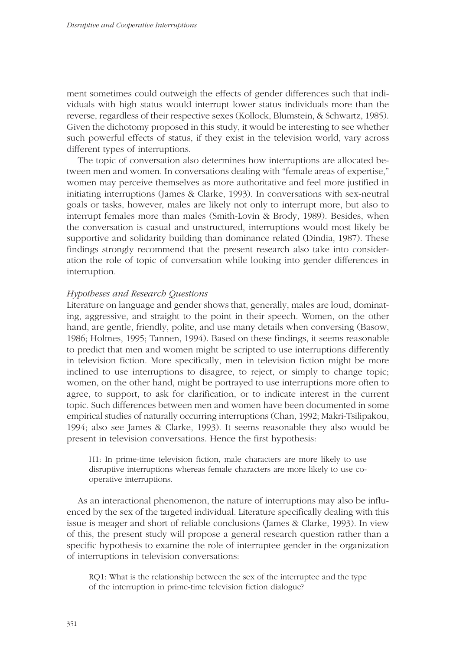ment sometimes could outweigh the effects of gender differences such that individuals with high status would interrupt lower status individuals more than the reverse, regardless of their respective sexes (Kollock, Blumstein, & Schwartz, 1985). Given the dichotomy proposed in this study, it would be interesting to see whether such powerful effects of status, if they exist in the television world, vary across different types of interruptions.

The topic of conversation also determines how interruptions are allocated between men and women. In conversations dealing with "female areas of expertise," women may perceive themselves as more authoritative and feel more justified in initiating interruptions (James & Clarke, 1993). In conversations with sex-neutral goals or tasks, however, males are likely not only to interrupt more, but also to interrupt females more than males (Smith-Lovin & Brody, 1989). Besides, when the conversation is casual and unstructured, interruptions would most likely be supportive and solidarity building than dominance related (Dindia, 1987). These findings strongly recommend that the present research also take into consideration the role of topic of conversation while looking into gender differences in interruption.

#### *Hypotheses and Research Questions*

Literature on language and gender shows that, generally, males are loud, dominating, aggressive, and straight to the point in their speech. Women, on the other hand, are gentle, friendly, polite, and use many details when conversing (Basow, 1986; Holmes, 1995; Tannen, 1994). Based on these findings, it seems reasonable to predict that men and women might be scripted to use interruptions differently in television fiction. More specifically, men in television fiction might be more inclined to use interruptions to disagree, to reject, or simply to change topic; women, on the other hand, might be portrayed to use interruptions more often to agree, to support, to ask for clarification, or to indicate interest in the current topic. Such differences between men and women have been documented in some empirical studies of naturally occurring interruptions (Chan, 1992; Makri-Tsilipakou, 1994; also see James & Clarke, 1993). It seems reasonable they also would be present in television conversations. Hence the first hypothesis:

H1: In prime-time television fiction, male characters are more likely to use disruptive interruptions whereas female characters are more likely to use cooperative interruptions.

As an interactional phenomenon, the nature of interruptions may also be influenced by the sex of the targeted individual. Literature specifically dealing with this issue is meager and short of reliable conclusions (James & Clarke, 1993). In view of this, the present study will propose a general research question rather than a specific hypothesis to examine the role of interruptee gender in the organization of interruptions in television conversations:

RQ1: What is the relationship between the sex of the interruptee and the type of the interruption in prime-time television fiction dialogue?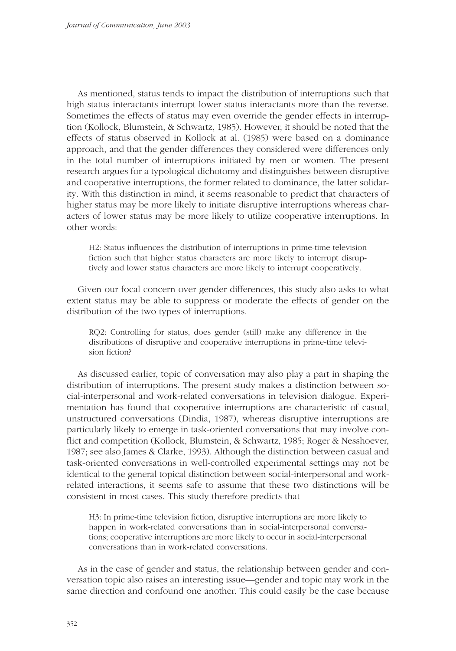As mentioned, status tends to impact the distribution of interruptions such that high status interactants interrupt lower status interactants more than the reverse. Sometimes the effects of status may even override the gender effects in interruption (Kollock, Blumstein, & Schwartz, 1985). However, it should be noted that the effects of status observed in Kollock at al. (1985) were based on a dominance approach, and that the gender differences they considered were differences only in the total number of interruptions initiated by men or women. The present research argues for a typological dichotomy and distinguishes between disruptive and cooperative interruptions, the former related to dominance, the latter solidarity. With this distinction in mind, it seems reasonable to predict that characters of higher status may be more likely to initiate disruptive interruptions whereas characters of lower status may be more likely to utilize cooperative interruptions. In other words:

H2: Status influences the distribution of interruptions in prime-time television fiction such that higher status characters are more likely to interrupt disruptively and lower status characters are more likely to interrupt cooperatively.

Given our focal concern over gender differences, this study also asks to what extent status may be able to suppress or moderate the effects of gender on the distribution of the two types of interruptions.

RQ2: Controlling for status, does gender (still) make any difference in the distributions of disruptive and cooperative interruptions in prime-time television fiction?

As discussed earlier, topic of conversation may also play a part in shaping the distribution of interruptions. The present study makes a distinction between social-interpersonal and work-related conversations in television dialogue. Experimentation has found that cooperative interruptions are characteristic of casual, unstructured conversations (Dindia, 1987), whereas disruptive interruptions are particularly likely to emerge in task-oriented conversations that may involve conflict and competition (Kollock, Blumstein, & Schwartz, 1985; Roger & Nesshoever, 1987; see also James & Clarke, 1993). Although the distinction between casual and task-oriented conversations in well-controlled experimental settings may not be identical to the general topical distinction between social-interpersonal and workrelated interactions, it seems safe to assume that these two distinctions will be consistent in most cases. This study therefore predicts that

H3: In prime-time television fiction, disruptive interruptions are more likely to happen in work-related conversations than in social-interpersonal conversations; cooperative interruptions are more likely to occur in social-interpersonal conversations than in work-related conversations.

As in the case of gender and status, the relationship between gender and conversation topic also raises an interesting issue—gender and topic may work in the same direction and confound one another. This could easily be the case because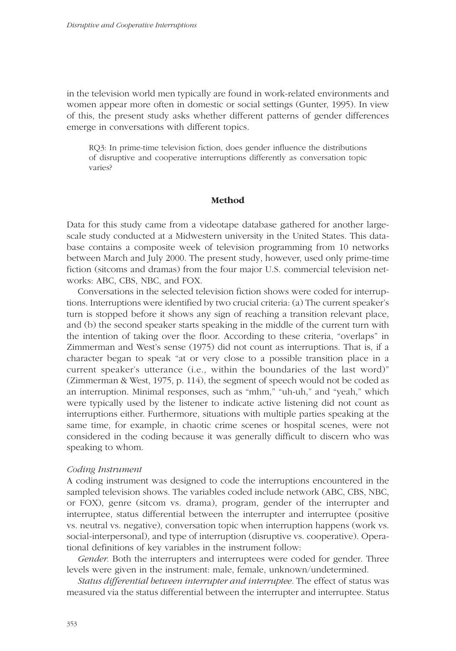in the television world men typically are found in work-related environments and women appear more often in domestic or social settings (Gunter, 1995). In view of this, the present study asks whether different patterns of gender differences emerge in conversations with different topics.

RQ3: In prime-time television fiction, does gender influence the distributions of disruptive and cooperative interruptions differently as conversation topic varies?

## **Method**

Data for this study came from a videotape database gathered for another largescale study conducted at a Midwestern university in the United States. This database contains a composite week of television programming from 10 networks between March and July 2000. The present study, however, used only prime-time fiction (sitcoms and dramas) from the four major U.S. commercial television networks: ABC, CBS, NBC, and FOX.

Conversations in the selected television fiction shows were coded for interruptions. Interruptions were identified by two crucial criteria: (a) The current speaker's turn is stopped before it shows any sign of reaching a transition relevant place, and (b) the second speaker starts speaking in the middle of the current turn with the intention of taking over the floor. According to these criteria, "overlaps" in Zimmerman and West's sense (1975) did not count as interruptions. That is, if a character began to speak "at or very close to a possible transition place in a current speaker's utterance (i.e., within the boundaries of the last word)" (Zimmerman & West, 1975, p. 114), the segment of speech would not be coded as an interruption. Minimal responses, such as "mhm," "uh-uh," and "yeah," which were typically used by the listener to indicate active listening did not count as interruptions either. Furthermore, situations with multiple parties speaking at the same time, for example, in chaotic crime scenes or hospital scenes, were not considered in the coding because it was generally difficult to discern who was speaking to whom.

## *Coding Instrument*

A coding instrument was designed to code the interruptions encountered in the sampled television shows. The variables coded include network (ABC, CBS, NBC, or FOX), genre (sitcom vs. drama), program, gender of the interrupter and interruptee, status differential between the interrupter and interruptee (positive vs. neutral vs. negative), conversation topic when interruption happens (work vs. social-interpersonal), and type of interruption (disruptive vs. cooperative). Operational definitions of key variables in the instrument follow:

*Gender.* Both the interrupters and interruptees were coded for gender. Three levels were given in the instrument: male, female, unknown/undetermined.

*Status differential between interrupter and interruptee.* The effect of status was measured via the status differential between the interrupter and interruptee. Status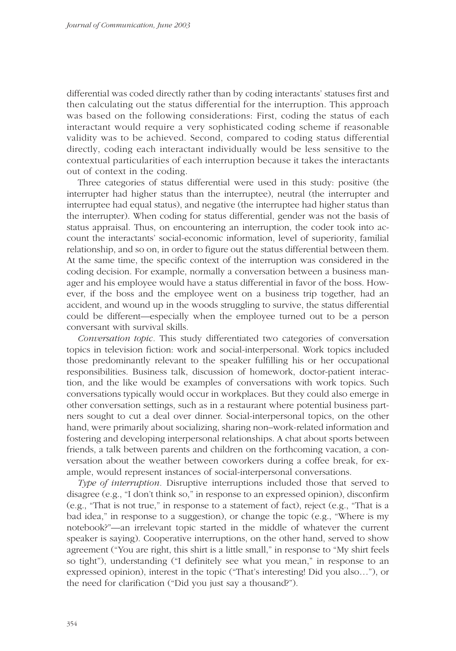differential was coded directly rather than by coding interactants' statuses first and then calculating out the status differential for the interruption. This approach was based on the following considerations: First, coding the status of each interactant would require a very sophisticated coding scheme if reasonable validity was to be achieved. Second, compared to coding status differential directly, coding each interactant individually would be less sensitive to the contextual particularities of each interruption because it takes the interactants out of context in the coding.

Three categories of status differential were used in this study: positive (the interrupter had higher status than the interruptee), neutral (the interrupter and interruptee had equal status), and negative (the interruptee had higher status than the interrupter). When coding for status differential, gender was not the basis of status appraisal. Thus, on encountering an interruption, the coder took into account the interactants' social-economic information, level of superiority, familial relationship, and so on, in order to figure out the status differential between them. At the same time, the specific context of the interruption was considered in the coding decision. For example, normally a conversation between a business manager and his employee would have a status differential in favor of the boss. However, if the boss and the employee went on a business trip together, had an accident, and wound up in the woods struggling to survive, the status differential could be different—especially when the employee turned out to be a person conversant with survival skills.

*Conversation topic.* This study differentiated two categories of conversation topics in television fiction: work and social-interpersonal. Work topics included those predominantly relevant to the speaker fulfilling his or her occupational responsibilities. Business talk, discussion of homework, doctor-patient interaction, and the like would be examples of conversations with work topics. Such conversations typically would occur in workplaces. But they could also emerge in other conversation settings, such as in a restaurant where potential business partners sought to cut a deal over dinner. Social-interpersonal topics, on the other hand, were primarily about socializing, sharing non–work-related information and fostering and developing interpersonal relationships. A chat about sports between friends, a talk between parents and children on the forthcoming vacation, a conversation about the weather between coworkers during a coffee break, for example, would represent instances of social-interpersonal conversations.

*Type of interruption.* Disruptive interruptions included those that served to disagree (e.g., "I don't think so," in response to an expressed opinion), disconfirm (e.g., "That is not true," in response to a statement of fact), reject (e.g., "That is a bad idea," in response to a suggestion), or change the topic (e.g., "Where is my notebook?"—an irrelevant topic started in the middle of whatever the current speaker is saying). Cooperative interruptions, on the other hand, served to show agreement ("You are right, this shirt is a little small," in response to "My shirt feels so tight"), understanding ("I definitely see what you mean," in response to an expressed opinion), interest in the topic ("That's interesting! Did you also…"), or the need for clarification ("Did you just say a thousand?").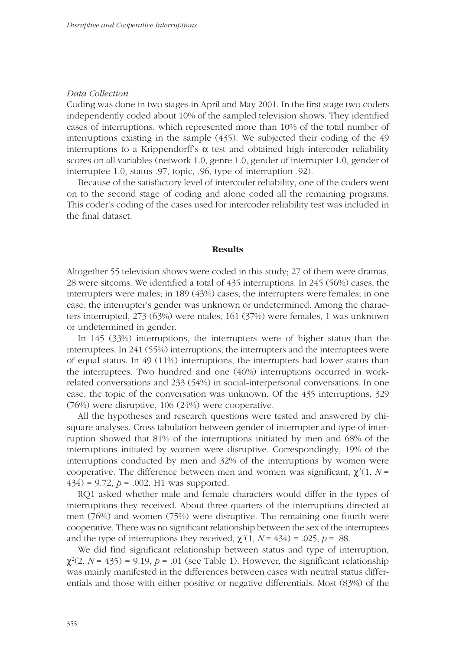#### *Data Collection*

Coding was done in two stages in April and May 2001. In the first stage two coders independently coded about 10% of the sampled television shows. They identified cases of interruptions, which represented more than 10% of the total number of interruptions existing in the sample (435). We subjected their coding of the 49 interruptions to a Krippendorff's  $\alpha$  test and obtained high intercoder reliability scores on all variables (network 1.0, genre 1.0, gender of interrupter 1.0, gender of interruptee 1.0, status .97, topic, .96, type of interruption .92).

Because of the satisfactory level of intercoder reliability, one of the coders went on to the second stage of coding and alone coded all the remaining programs. This coder's coding of the cases used for intercoder reliability test was included in the final dataset.

#### **Results**

Altogether 55 television shows were coded in this study; 27 of them were dramas, 28 were sitcoms. We identified a total of 435 interruptions. In 245 (56%) cases, the interrupters were males; in 189 (43%) cases, the interrupters were females; in one case, the interrupter's gender was unknown or undetermined. Among the characters interrupted, 273 (63%) were males, 161 (37%) were females, 1 was unknown or undetermined in gender.

In 145 (33%) interruptions, the interrupters were of higher status than the interruptees. In 241 (55%) interruptions, the interrupters and the interruptees were of equal status. In 49 (11%) interruptions, the interrupters had lower status than the interruptees. Two hundred and one (46%) interruptions occurred in workrelated conversations and 233 (54%) in social-interpersonal conversations. In one case, the topic of the conversation was unknown. Of the 435 interruptions, 329 (76%) were disruptive, 106 (24%) were cooperative.

All the hypotheses and research questions were tested and answered by chisquare analyses. Cross tabulation between gender of interrupter and type of interruption showed that 81% of the interruptions initiated by men and 68% of the interruptions initiated by women were disruptive. Correspondingly, 19% of the interruptions conducted by men and 32% of the interruptions by women were cooperative. The difference between men and women was significant,  $\chi^2(1, N =$  $(434) = 9.72$ ,  $p = .002$ . H1 was supported.

RQ1 asked whether male and female characters would differ in the types of interruptions they received. About three quarters of the interruptions directed at men (76%) and women (75%) were disruptive. The remaining one fourth were cooperative. There was no significant relationship between the sex of the interruptees and the type of interruptions they received,  $\chi^2(1, N = 434) = .025, p = .88$ .

We did find significant relationship between status and type of interruption,  $\chi^2(2, N = 435) = 9.19$ ,  $p = .01$  (see Table 1). However, the significant relationship was mainly manifested in the differences between cases with neutral status differentials and those with either positive or negative differentials. Most (83%) of the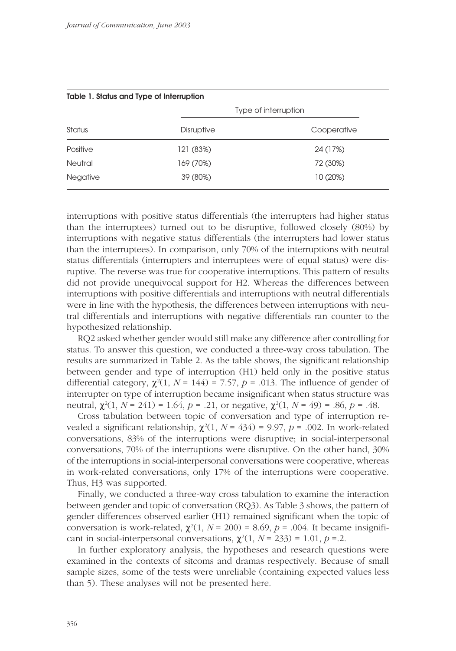|          |            | Type of interruption |  |
|----------|------------|----------------------|--|
| Status   | Disruptive | Cooperative          |  |
| Positive | 121 (83%)  | 24 (17%)             |  |
| Neutral  | 169 (70%)  | 72 (30%)             |  |
| Negative | 39 (80%)   | 10(20%)              |  |
|          |            |                      |  |

**Table 1. Status and Type of Interruption**

interruptions with positive status differentials (the interrupters had higher status than the interruptees) turned out to be disruptive, followed closely (80%) by interruptions with negative status differentials (the interrupters had lower status than the interruptees). In comparison, only 70% of the interruptions with neutral status differentials (interrupters and interruptees were of equal status) were disruptive. The reverse was true for cooperative interruptions. This pattern of results did not provide unequivocal support for H2. Whereas the differences between interruptions with positive differentials and interruptions with neutral differentials were in line with the hypothesis, the differences between interruptions with neutral differentials and interruptions with negative differentials ran counter to the hypothesized relationship.

RQ2 asked whether gender would still make any difference after controlling for status. To answer this question, we conducted a three-way cross tabulation. The results are summarized in Table 2. As the table shows, the significant relationship between gender and type of interruption (H1) held only in the positive status differential category,  $\chi^2(1, N = 144) = 7.57$ ,  $p = .013$ . The influence of gender of interrupter on type of interruption became insignificant when status structure was neutral,  $\chi^2(1, N = 241) = 1.64$ ,  $p = .21$ , or negative,  $\chi^2(1, N = 49) = .86$ ,  $p = .48$ .

Cross tabulation between topic of conversation and type of interruption revealed a significant relationship,  $\chi^2(1, N = 434) = 9.97, p = .002$ . In work-related conversations, 83% of the interruptions were disruptive; in social-interpersonal conversations, 70% of the interruptions were disruptive. On the other hand, 30% of the interruptions in social-interpersonal conversations were cooperative, whereas in work-related conversations, only 17% of the interruptions were cooperative. Thus, H3 was supported.

Finally, we conducted a three-way cross tabulation to examine the interaction between gender and topic of conversation (RQ3). As Table 3 shows, the pattern of gender differences observed earlier (H1) remained significant when the topic of conversation is work-related,  $\chi^2(1, N = 200) = 8.69$ ,  $p = .004$ . It became insignificant in social-interpersonal conversations,  $\chi^2(1, N = 233) = 1.01, p = .2$ .

In further exploratory analysis, the hypotheses and research questions were examined in the contexts of sitcoms and dramas respectively. Because of small sample sizes, some of the tests were unreliable (containing expected values less than 5). These analyses will not be presented here.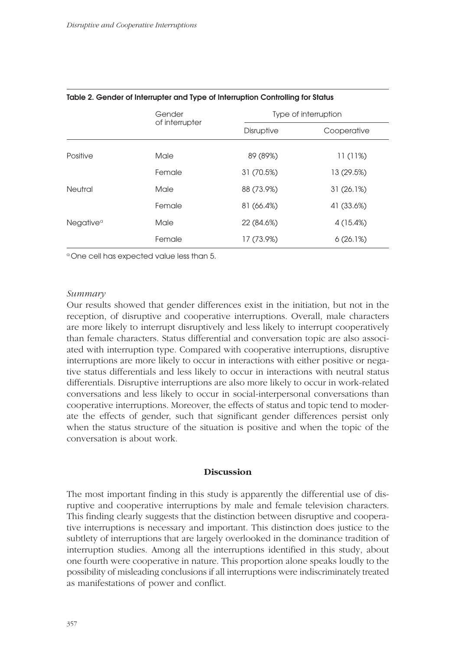|                       | Gender<br>of interrupter | Type of interruption |             |  |
|-----------------------|--------------------------|----------------------|-------------|--|
|                       |                          | Disruptive           | Cooperative |  |
| Positive              | Male                     | 89 (89%)             | 11(11%)     |  |
|                       | Female                   | 31 (70.5%)           | 13 (29.5%)  |  |
| <b>Neutral</b>        | Male                     | 88 (73.9%)           | 31(26.1%)   |  |
|                       | Female                   | 81 (66.4%)           | 41 (33.6%)  |  |
| Negative <sup>a</sup> | Male                     | 22 (84.6%)           | 4 (15.4%)   |  |
|                       | Female                   | 17 (73.9%)           | 6(26.1%)    |  |

# **Table 2. Gender of Interrupter and Type of Interruption Controlling for Status**

a One cell has expected value less than 5.

## *Summary*

Our results showed that gender differences exist in the initiation, but not in the reception, of disruptive and cooperative interruptions. Overall, male characters are more likely to interrupt disruptively and less likely to interrupt cooperatively than female characters. Status differential and conversation topic are also associated with interruption type. Compared with cooperative interruptions, disruptive interruptions are more likely to occur in interactions with either positive or negative status differentials and less likely to occur in interactions with neutral status differentials. Disruptive interruptions are also more likely to occur in work-related conversations and less likely to occur in social-interpersonal conversations than cooperative interruptions. Moreover, the effects of status and topic tend to moderate the effects of gender, such that significant gender differences persist only when the status structure of the situation is positive and when the topic of the conversation is about work.

## **Discussion**

The most important finding in this study is apparently the differential use of disruptive and cooperative interruptions by male and female television characters. This finding clearly suggests that the distinction between disruptive and cooperative interruptions is necessary and important. This distinction does justice to the subtlety of interruptions that are largely overlooked in the dominance tradition of interruption studies. Among all the interruptions identified in this study, about one fourth were cooperative in nature. This proportion alone speaks loudly to the possibility of misleading conclusions if all interruptions were indiscriminately treated as manifestations of power and conflict.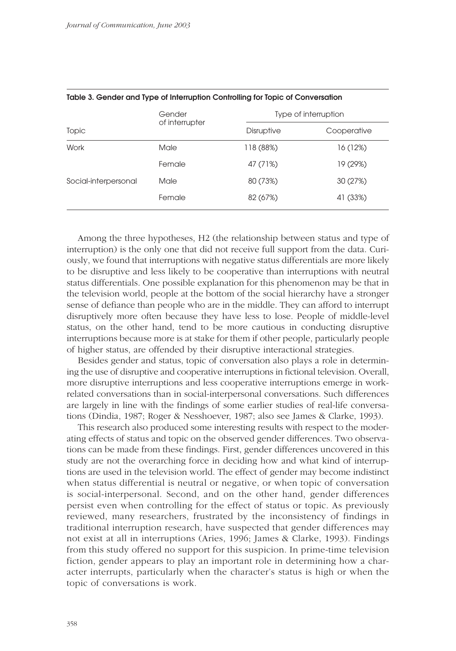|                      | Gender<br>of interrupter | Type of interruption |             |
|----------------------|--------------------------|----------------------|-------------|
| Topic                |                          | Disruptive           | Cooperative |
| Work                 | Male                     | 118 (88%)            | 16 (12%)    |
|                      | Female                   | 47 (71%)             | 19 (29%)    |
| Social-interpersonal | Male                     | 80 (73%)             | 30 (27%)    |
|                      | Female                   | 82 (67%)             | 41 (33%)    |

# **Table 3. Gender and Type of Interruption Controlling for Topic of Conversation**

Among the three hypotheses, H2 (the relationship between status and type of interruption) is the only one that did not receive full support from the data. Curiously, we found that interruptions with negative status differentials are more likely to be disruptive and less likely to be cooperative than interruptions with neutral status differentials. One possible explanation for this phenomenon may be that in the television world, people at the bottom of the social hierarchy have a stronger sense of defiance than people who are in the middle. They can afford to interrupt disruptively more often because they have less to lose. People of middle-level status, on the other hand, tend to be more cautious in conducting disruptive interruptions because more is at stake for them if other people, particularly people of higher status, are offended by their disruptive interactional strategies.

Besides gender and status, topic of conversation also plays a role in determining the use of disruptive and cooperative interruptions in fictional television. Overall, more disruptive interruptions and less cooperative interruptions emerge in workrelated conversations than in social-interpersonal conversations. Such differences are largely in line with the findings of some earlier studies of real-life conversations (Dindia, 1987; Roger & Nesshoever, 1987; also see James & Clarke, 1993).

This research also produced some interesting results with respect to the moderating effects of status and topic on the observed gender differences. Two observations can be made from these findings. First, gender differences uncovered in this study are not the overarching force in deciding how and what kind of interruptions are used in the television world. The effect of gender may become indistinct when status differential is neutral or negative, or when topic of conversation is social-interpersonal. Second, and on the other hand, gender differences persist even when controlling for the effect of status or topic. As previously reviewed, many researchers, frustrated by the inconsistency of findings in traditional interruption research, have suspected that gender differences may not exist at all in interruptions (Aries, 1996; James & Clarke, 1993). Findings from this study offered no support for this suspicion. In prime-time television fiction, gender appears to play an important role in determining how a character interrupts, particularly when the character's status is high or when the topic of conversations is work.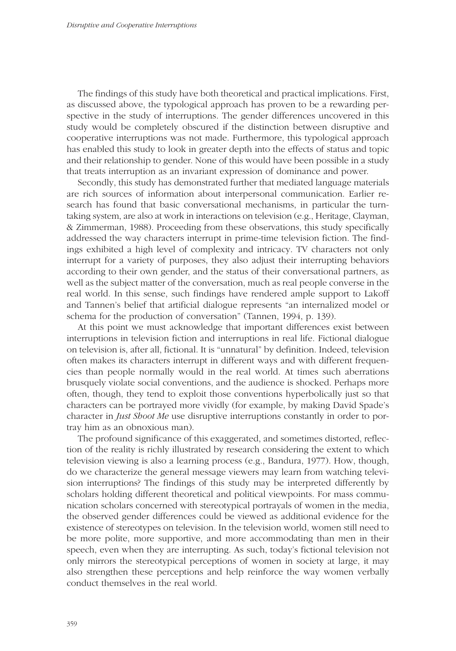The findings of this study have both theoretical and practical implications. First, as discussed above, the typological approach has proven to be a rewarding perspective in the study of interruptions. The gender differences uncovered in this study would be completely obscured if the distinction between disruptive and cooperative interruptions was not made. Furthermore, this typological approach has enabled this study to look in greater depth into the effects of status and topic and their relationship to gender. None of this would have been possible in a study that treats interruption as an invariant expression of dominance and power.

Secondly, this study has demonstrated further that mediated language materials are rich sources of information about interpersonal communication. Earlier research has found that basic conversational mechanisms, in particular the turntaking system, are also at work in interactions on television (e.g., Heritage, Clayman, & Zimmerman, 1988). Proceeding from these observations, this study specifically addressed the way characters interrupt in prime-time television fiction. The findings exhibited a high level of complexity and intricacy. TV characters not only interrupt for a variety of purposes, they also adjust their interrupting behaviors according to their own gender, and the status of their conversational partners, as well as the subject matter of the conversation, much as real people converse in the real world. In this sense, such findings have rendered ample support to Lakoff and Tannen's belief that artificial dialogue represents "an internalized model or schema for the production of conversation" (Tannen, 1994, p. 139).

At this point we must acknowledge that important differences exist between interruptions in television fiction and interruptions in real life. Fictional dialogue on television is, after all, fictional. It is "unnatural" by definition. Indeed, television often makes its characters interrupt in different ways and with different frequencies than people normally would in the real world. At times such aberrations brusquely violate social conventions, and the audience is shocked. Perhaps more often, though, they tend to exploit those conventions hyperbolically just so that characters can be portrayed more vividly (for example, by making David Spade's character in *Just Shoot Me* use disruptive interruptions constantly in order to portray him as an obnoxious man).

The profound significance of this exaggerated, and sometimes distorted, reflection of the reality is richly illustrated by research considering the extent to which television viewing is also a learning process (e.g., Bandura, 1977). How, though, do we characterize the general message viewers may learn from watching television interruptions? The findings of this study may be interpreted differently by scholars holding different theoretical and political viewpoints. For mass communication scholars concerned with stereotypical portrayals of women in the media, the observed gender differences could be viewed as additional evidence for the existence of stereotypes on television. In the television world, women still need to be more polite, more supportive, and more accommodating than men in their speech, even when they are interrupting. As such, today's fictional television not only mirrors the stereotypical perceptions of women in society at large, it may also strengthen these perceptions and help reinforce the way women verbally conduct themselves in the real world.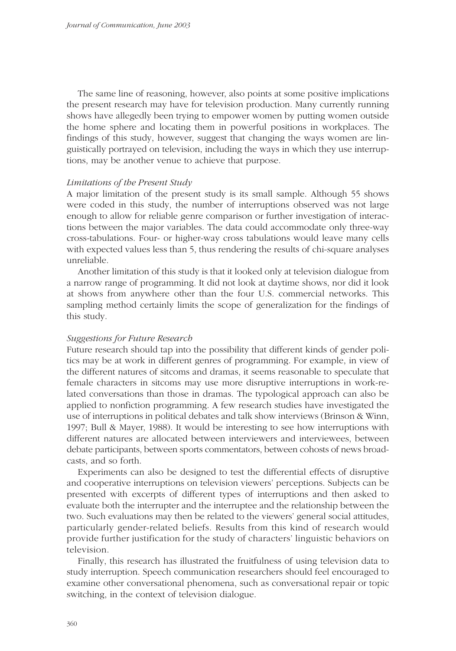The same line of reasoning, however, also points at some positive implications the present research may have for television production. Many currently running shows have allegedly been trying to empower women by putting women outside the home sphere and locating them in powerful positions in workplaces. The findings of this study, however, suggest that changing the ways women are linguistically portrayed on television, including the ways in which they use interruptions, may be another venue to achieve that purpose.

#### *Limitations of the Present Study*

A major limitation of the present study is its small sample. Although 55 shows were coded in this study, the number of interruptions observed was not large enough to allow for reliable genre comparison or further investigation of interactions between the major variables. The data could accommodate only three-way cross-tabulations. Four- or higher-way cross tabulations would leave many cells with expected values less than 5, thus rendering the results of chi-square analyses unreliable.

Another limitation of this study is that it looked only at television dialogue from a narrow range of programming. It did not look at daytime shows, nor did it look at shows from anywhere other than the four U.S. commercial networks. This sampling method certainly limits the scope of generalization for the findings of this study.

#### *Suggestions for Future Research*

Future research should tap into the possibility that different kinds of gender politics may be at work in different genres of programming. For example, in view of the different natures of sitcoms and dramas, it seems reasonable to speculate that female characters in sitcoms may use more disruptive interruptions in work-related conversations than those in dramas. The typological approach can also be applied to nonfiction programming. A few research studies have investigated the use of interruptions in political debates and talk show interviews (Brinson & Winn, 1997; Bull & Mayer, 1988). It would be interesting to see how interruptions with different natures are allocated between interviewers and interviewees, between debate participants, between sports commentators, between cohosts of news broadcasts, and so forth.

Experiments can also be designed to test the differential effects of disruptive and cooperative interruptions on television viewers' perceptions. Subjects can be presented with excerpts of different types of interruptions and then asked to evaluate both the interrupter and the interruptee and the relationship between the two. Such evaluations may then be related to the viewers' general social attitudes, particularly gender-related beliefs. Results from this kind of research would provide further justification for the study of characters' linguistic behaviors on television.

Finally, this research has illustrated the fruitfulness of using television data to study interruption. Speech communication researchers should feel encouraged to examine other conversational phenomena, such as conversational repair or topic switching, in the context of television dialogue.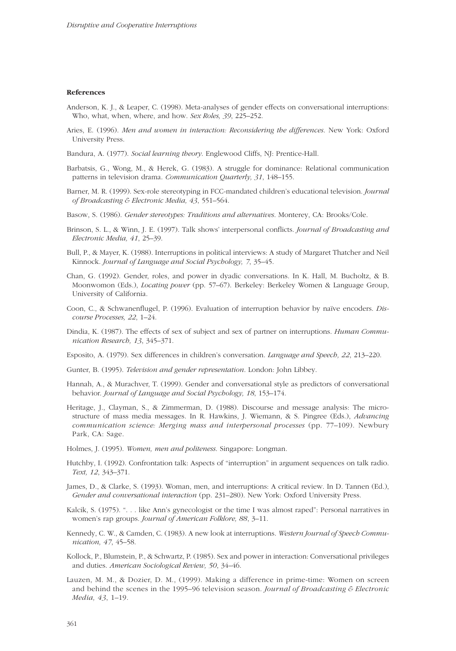#### **References**

- Anderson, K. J., & Leaper, C. (1998). Meta-analyses of gender effects on conversational interruptions: Who, what, when, where, and how. *Sex Roles, 39*, 225–252.
- Aries, E. (1996). *Men and women in interaction: Reconsidering the differences*. New York: Oxford University Press.
- Bandura, A. (1977). *Social learning theory*. Englewood Cliffs, NJ: Prentice-Hall.
- Barbatsis, G., Wong, M., & Herek, G. (1983). A struggle for dominance: Relational communication patterns in television drama. *Communication Quarterly, 31*, 148–155.
- Barner, M. R. (1999). Sex-role stereotyping in FCC-mandated children's educational television. *Journal of Broadcasting & Electronic Media, 43*, 551–564.
- Basow, S. (1986). *Gender stereotypes: Traditions and alternatives*. Monterey, CA: Brooks/Cole.
- Brinson, S. L., & Winn, J. E. (1997). Talk shows' interpersonal conflicts. *Journal of Broadcasting and Electronic Media, 41*, 25–39.
- Bull, P., & Mayer, K. (1988). Interruptions in political interviews: A study of Margaret Thatcher and Neil Kinnock. *Journal of Language and Social Psychology, 7*, 35–45.
- Chan, G. (1992). Gender, roles, and power in dyadic conversations. In K. Hall, M. Bucholtz, & B. Moonwomon (Eds.), *Locating power* (pp. 57–67). Berkeley: Berkeley Women & Language Group, University of California.
- Coon, C., & Schwanenflugel, P. (1996). Evaluation of interruption behavior by naïve encoders. *Discourse Processes, 22*, 1–24.
- Dindia, K. (1987). The effects of sex of subject and sex of partner on interruptions. *Human Communication Research, 13*, 345–371.
- Esposito, A. (1979). Sex differences in children's conversation. *Language and Speech, 22*, 213–220.
- Gunter, B. (1995). *Television and gender representation*. London: John Libbey.
- Hannah, A., & Murachver, T. (1999). Gender and conversational style as predictors of conversational behavior. *Journal of Language and Social Psychology, 18*, 153–174.
- Heritage, J., Clayman, S., & Zimmerman, D. (1988). Discourse and message analysis: The microstructure of mass media messages. In R. Hawkins, J. Wiemann, & S. Pingree (Eds.), *Advancing communication science: Merging mass and interpersonal processes* (pp. 77–109). Newbury Park, CA: Sage.
- Holmes, J. (1995). *Women, men and politeness*. Singapore: Longman.
- Hutchby, I. (1992). Confrontation talk: Aspects of "interruption" in argument sequences on talk radio. *Text, 12*, 343–371.
- James, D., & Clarke, S. (1993). Woman, men, and interruptions: A critical review. In D. Tannen (Ed.), *Gender and conversational interaction* (pp. 231–280). New York: Oxford University Press.
- Kalcik, S. (1975). ". . . like Ann's gynecologist or the time I was almost raped": Personal narratives in women's rap groups. *Journal of American Folklore, 88*, 3–11.
- Kennedy, C. W., & Camden, C. (1983). A new look at interruptions. *Western Journal of Speech Communication, 47*, 45–58.
- Kollock, P., Blumstein, P., & Schwartz, P. (1985). Sex and power in interaction: Conversational privileges and duties. *American Sociological Review, 50*, 34–46.
- Lauzen, M. M., & Dozier, D. M., (1999). Making a difference in prime-time: Women on screen and behind the scenes in the 1995–96 television season. *Journal of Broadcasting & Electronic Media, 43*, 1–19.